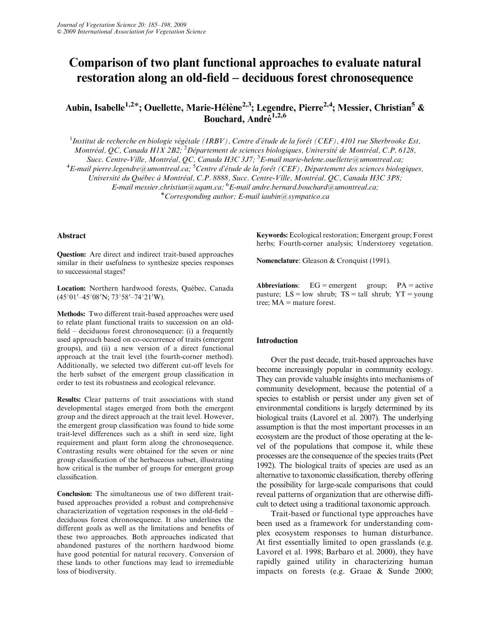# Comparison of two plant functional approaches to evaluate natural restoration along an old-field – deciduous forest chronosequence

## Aubin, Isabelle<sup>1,2\*</sup>; Ouellette, Marie-Hélène<sup>2,3</sup>; Legendre, Pierre<sup>2,4</sup>; Messier, Christian<sup>5</sup> & Bouchard, André<sup>1,2,6</sup>

<sup>1</sup>Institut de recherche en biologie végétale (IRBV), Centre d'étude de la forêt (CEF), 4101 rue Sherbrooke Est, Montréal, QC, Canada H1X 2B2; <sup>2</sup> Département de sciences biologiques, Université de Montréal, C.P. 6128,

Succ. Centre-Ville, Montréal, QC, Canada H3C 3J7; <sup>3</sup>E-mail marie-helene.ouellette@umontreal.ca;<br><sup>4</sup> E-mail nierre legendre@umontreal.ca; <sup>5</sup>Centre d'étude de la forêt (CEE). Département des sciences hielos E-mail pierre.legendre@umontreal.ca; <sup>5</sup>Centre d'étude de la forêt (CEF), Département des sciences biologiques,

Université du Québec à Montréal, C.P. 8888, Succ. Centre-Ville, Montréal, OC, Canada H3C 3P8;

 $E$ -mail messier.christian@uqam.ca; <sup>6</sup>E-mail andre.bernard.bouchard@umontreal.ca;<br>
\*Corresponding author: E-mail iquhin@sympatico.ca

Corresponding author; E-mail iaubin@sympatico.ca

## Abstract

Question: Are direct and indirect trait-based approaches similar in their usefulness to synthesize species responses to successional stages?

Location: Northern hardwood forests, Québec, Canada  $(45^{\circ}01' - 45^{\circ}08'N; 73^{\circ}58' - 74^{\circ}21'W).$ 

Methods: Two different trait-based approaches were used to relate plant functional traits to succession on an oldfield – deciduous forest chronosequence: (i) a frequently used approach based on co-occurrence of traits (emergent groups), and (ii) a new version of a direct functional approach at the trait level (the fourth-corner method). Additionally, we selected two different cut-off levels for the herb subset of the emergent group classification in order to test its robustness and ecological relevance.

Results: Clear patterns of trait associations with stand developmental stages emerged from both the emergent group and the direct approach at the trait level. However, the emergent group classification was found to hide some trait-level differences such as a shift in seed size, light requirement and plant form along the chronosequence. Contrasting results were obtained for the seven or nine group classification of the herbaceous subset, illustrating how critical is the number of groups for emergent group classification.

Conclusion: The simultaneous use of two different traitbased approaches provided a robust and comprehensive characterization of vegetation responses in the old-field – deciduous forest chronosequence. It also underlines the different goals as well as the limitations and benefits of these two approaches. Both approaches indicated that abandoned pastures of the northern hardwood biome have good potential for natural recovery. Conversion of these lands to other functions may lead to irremediable loss of biodiversity.

Keywords: Ecological restoration; Emergent group; Forest herbs; Fourth-corner analysis; Understorey vegetation.

Nomenclature: Gleason & Cronquist (1991).

Abbreviations:  $EG = emergent$  group;  $PA = active$ pasture;  $LS = low$  shrub;  $TS = tall$  shrub;  $YT = young$ tree;  $MA =$  mature forest.

#### Introduction

Over the past decade, trait-based approaches have become increasingly popular in community ecology. They can provide valuable insights into mechanisms of community development, because the potential of a species to establish or persist under any given set of environmental conditions is largely determined by its biological traits (Lavorel et al. 2007). The underlying assumption is that the most important processes in an ecosystem are the product of those operating at the level of the populations that compose it, while these processes are the consequence of the species traits (Peet 1992). The biological traits of species are used as an alternative to taxonomic classification, thereby offering the possibility for large-scale comparisons that could reveal patterns of organization that are otherwise difficult to detect using a traditional taxonomic approach.

Trait-based or functional type approaches have been used as a framework for understanding complex ecosystem responses to human disturbance. At first essentially limited to open grasslands (e.g. Lavorel et al. 1998; Barbaro et al. 2000), they have rapidly gained utility in characterizing human impacts on forests (e.g. Graae & Sunde 2000;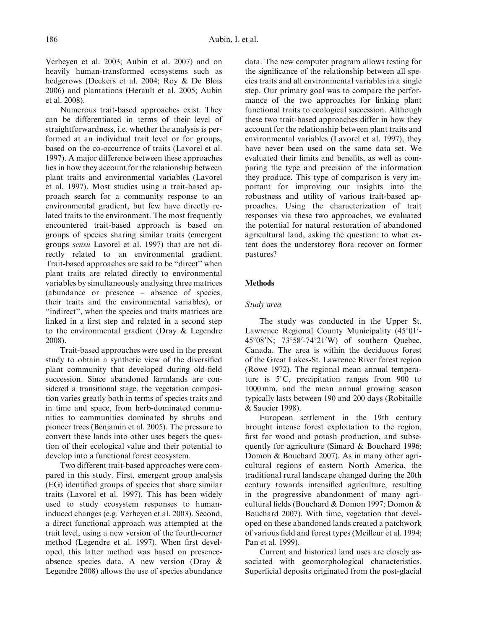Verheyen et al. 2003; Aubin et al. 2007) and on heavily human-transformed ecosystems such as hedgerows (Deckers et al. 2004; Roy & De Blois 2006) and plantations (Herault et al. 2005; Aubin et al. 2008).

Numerous trait-based approaches exist. They can be differentiated in terms of their level of straightforwardness, i.e. whether the analysis is performed at an individual trait level or for groups, based on the co-occurrence of traits (Lavorel et al. 1997). A major difference between these approaches lies in how they account for the relationship between plant traits and environmental variables (Lavorel et al. 1997). Most studies using a trait-based approach search for a community response to an environmental gradient, but few have directly related traits to the environment. The most frequently encountered trait-based approach is based on groups of species sharing similar traits (emergent groups sensu Lavorel et al. 1997) that are not directly related to an environmental gradient. Trait-based approaches are said to be ''direct'' when plant traits are related directly to environmental variables by simultaneously analysing three matrices (abundance or presence – absence of species, their traits and the environmental variables), or ''indirect'', when the species and traits matrices are linked in a first step and related in a second step to the environmental gradient (Dray & Legendre 2008).

Trait-based approaches were used in the present study to obtain a synthetic view of the diversified plant community that developed during old-field succession. Since abandoned farmlands are considered a transitional stage, the vegetation composition varies greatly both in terms of species traits and in time and space, from herb-dominated communities to communities dominated by shrubs and pioneer trees (Benjamin et al. 2005). The pressure to convert these lands into other uses begets the question of their ecological value and their potential to develop into a functional forest ecosystem.

Two different trait-based approaches were compared in this study. First, emergent group analysis (EG) identified groups of species that share similar traits (Lavorel et al. 1997). This has been widely used to study ecosystem responses to humaninduced changes (e.g. Verheyen et al. 2003). Second, a direct functional approach was attempted at the trait level, using a new version of the fourth-corner method (Legendre et al. 1997). When first developed, this latter method was based on presenceabsence species data. A new version (Dray & Legendre 2008) allows the use of species abundance data. The new computer program allows testing for the significance of the relationship between all species traits and all environmental variables in a single step. Our primary goal was to compare the performance of the two approaches for linking plant functional traits to ecological succession. Although these two trait-based approaches differ in how they account for the relationship between plant traits and environmental variables (Lavorel et al. 1997), they have never been used on the same data set. We evaluated their limits and benefits, as well as comparing the type and precision of the information they produce. This type of comparison is very important for improving our insights into the robustness and utility of various trait-based approaches. Using the characterization of trait responses via these two approaches, we evaluated the potential for natural restoration of abandoned agricultural land, asking the question: to what extent does the understorey flora recover on former pastures?

#### **Methods**

### Study area

The study was conducted in the Upper St. Lawrence Regional County Municipality (45°01'-45°08'N; 73°58'-74°21'W) of southern Quebec, Canada. The area is within the deciduous forest of the Great Lakes-St. Lawrence River forest region (Rowe 1972). The regional mean annual temperature is  $5^{\circ}$ C, precipitation ranges from 900 to 1000 mm, and the mean annual growing season typically lasts between 190 and 200 days (Robitaille & Saucier 1998).

European settlement in the 19th century brought intense forest exploitation to the region, first for wood and potash production, and subsequently for agriculture (Simard & Bouchard 1996; Domon & Bouchard 2007). As in many other agricultural regions of eastern North America, the traditional rural landscape changed during the 20th century towards intensified agriculture, resulting in the progressive abandonment of many agricultural fields (Bouchard & Domon 1997; Domon & Bouchard 2007). With time, vegetation that developed on these abandoned lands created a patchwork of various field and forest types (Meilleur et al. 1994; Pan et al. 1999).

Current and historical land uses are closely associated with geomorphological characteristics. Superficial deposits originated from the post-glacial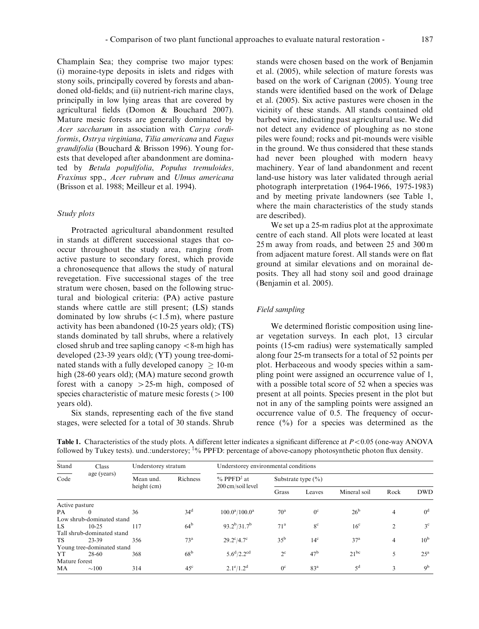Champlain Sea; they comprise two major types: (i) moraine-type deposits in islets and ridges with stony soils, principally covered by forests and abandoned old-fields; and (ii) nutrient-rich marine clays, principally in low lying areas that are covered by agricultural fields (Domon & Bouchard 2007). Mature mesic forests are generally dominated by Acer saccharum in association with Carya cordiformis, Ostrya virginiana, Tilia americana and Fagus grandifolia (Bouchard & Brisson 1996). Young forests that developed after abandonment are dominated by Betula populifolia, Populus tremuloides, Fraxinus spp., Acer rubrum and Ulmus americana (Brisson et al. 1988; Meilleur et al. 1994).

## Study plots

Protracted agricultural abandonment resulted in stands at different successional stages that cooccur throughout the study area, ranging from active pasture to secondary forest, which provide a chronosequence that allows the study of natural revegetation. Five successional stages of the tree stratum were chosen, based on the following structural and biological criteria: (PA) active pasture stands where cattle are still present; (LS) stands dominated by low shrubs  $\ll$ 1.5 m), where pasture activity has been abandoned (10-25 years old); (TS) stands dominated by tall shrubs, where a relatively closed shrub and tree sapling canopy  $\langle 8-m \rangle$  high has developed (23-39 years old); (YT) young tree-dominated stands with a fully developed canopy  $\geq 10$ -m high (28-60 years old); (MA) mature second growth forest with a canopy  $>25$ -m high, composed of species characteristic of mature mesic forests  $(>100$ years old).

Six stands, representing each of the five stand stages, were selected for a total of 30 stands. Shrub stands were chosen based on the work of Benjamin et al. (2005), while selection of mature forests was based on the work of Carignan (2005). Young tree stands were identified based on the work of Delage et al. (2005). Six active pastures were chosen in the vicinity of these stands. All stands contained old barbed wire, indicating past agricultural use. We did not detect any evidence of ploughing as no stone piles were found; rocks and pit-mounds were visible in the ground. We thus considered that these stands had never been ploughed with modern heavy machinery. Year of land abandonment and recent land-use history was later validated through aerial photograph interpretation (1964-1966, 1975-1983) and by meeting private landowners (see Table 1, where the main characteristics of the study stands are described).

We set up a 25-m radius plot at the approximate centre of each stand. All plots were located at least 25 m away from roads, and between 25 and 300 m from adjacent mature forest. All stands were on flat ground at similar elevations and on morainal deposits. They all had stony soil and good drainage (Benjamin et al. 2005).

## Field sampling

We determined floristic composition using linear vegetation surveys. In each plot, 13 circular points (15-cm radius) were systematically sampled along four 25-m transects for a total of 52 points per plot. Herbaceous and woody species within a sampling point were assigned an occurrence value of 1, with a possible total score of 52 when a species was present at all points. Species present in the plot but not in any of the sampling points were assigned an occurrence value of 0.5. The frequency of occurrence (%) for a species was determined as the

| Stand                    | Class                      | Understorey stratum |                 | Understorey environmental conditions          |                        |                 |                 |                |                 |  |
|--------------------------|----------------------------|---------------------|-----------------|-----------------------------------------------|------------------------|-----------------|-----------------|----------------|-----------------|--|
| $\overline{\text{Code}}$ | age (years)                | Mean und.           | Richness        | $%$ PPFD <sup>‡</sup> at<br>200 cm/soil level | Substrate type $(\% )$ |                 |                 |                |                 |  |
|                          |                            | height (cm)         |                 |                                               | Grass                  | Leaves          | Mineral soil    | Rock           | <b>DWD</b>      |  |
| Active pasture           |                            |                     |                 |                                               |                        |                 |                 |                |                 |  |
| <b>PA</b>                | $\Omega$                   | 36                  | $34^d$          | $100.0^a/100.0^a$                             | $70^{\rm a}$           | $0^{\circ}$     | $26^{\rm b}$    | 4              | $0^d$           |  |
|                          | Low shrub-dominated stand  |                     |                 |                                               |                        |                 |                 |                |                 |  |
| LS                       | $10-25$                    | 117                 | $64^{\rm b}$    | $93.2^b/31.7^b$                               | 71 <sup>a</sup>        | $8^{\rm c}$     | 16 <sup>c</sup> | $\overline{c}$ | 3 <sup>c</sup>  |  |
|                          | Tall shrub-dominated stand |                     |                 |                                               |                        |                 |                 |                |                 |  |
| TS.                      | 23-39                      | 356                 | 73 <sup>a</sup> | $29.2^{\circ}/4.7^{\circ}$                    | 35 <sup>b</sup>        | $14^{\circ}$    | 37 <sup>a</sup> | 4              | 10 <sup>b</sup> |  |
|                          | Young tree-dominated stand |                     |                 |                                               |                        |                 |                 |                |                 |  |
| YT                       | 28-60                      | 368                 | 68 <sup>b</sup> | $5.6^d/2.2^{cd}$                              | $2^{\rm c}$            | 47 <sup>b</sup> | $21^{bc}$       | 5              | $25^{\rm a}$    |  |
| Mature forest            |                            |                     |                 |                                               |                        |                 |                 |                |                 |  |
| МA                       | $\sim\!\!100$              | 314                 | $45^{\circ}$    | $2.1^{\circ}/1.2^{\circ}$                     | $0^{\circ}$            | 83 <sup>a</sup> | 5 <sup>d</sup>  | 3              | 9 <sup>b</sup>  |  |

**Table 1.** Characteristics of the study plots. A different letter indicates a significant difference at  $P < 0.05$  (one-way ANOVA) followed by Tukey tests). und.:understorey; <sup>‡0</sup>% PPFD: percentage of above-canopy photosynthetic photon flux density.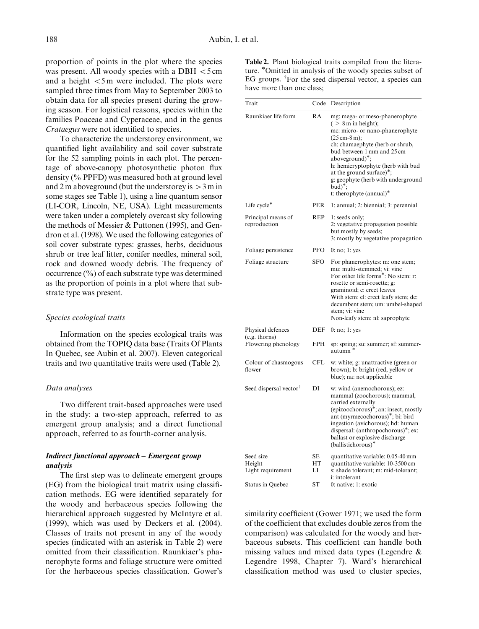proportion of points in the plot where the species was present. All woody species with a DBH  $\lt$ 5 cm and a height  $\lt 5$  m were included. The plots were sampled three times from May to September 2003 to obtain data for all species present during the growing season. For logistical reasons, species within the families Poaceae and Cyperaceae, and in the genus Crataegus were not identified to species.

To characterize the understorey environment, we quantified light availability and soil cover substrate for the 52 sampling points in each plot. The percentage of above-canopy photosynthetic photon flux density (% PPFD) was measured both at ground level and 2 m aboveground (but the understorey is  $>$  3 m in some stages see Table 1), using a line quantum sensor (LI-COR, Lincoln, NE, USA). Light measurements were taken under a completely overcast sky following the methods of Messier & Puttonen (1995), and Gendron et al. (1998). We used the following categories of soil cover substrate types: grasses, herbs, deciduous shrub or tree leaf litter, conifer needles, mineral soil, rock and downed woody debris. The frequency of occurrence (%) of each substrate type was determined as the proportion of points in a plot where that substrate type was present.

#### Species ecological traits

Information on the species ecological traits was obtained from the TOPIQ data base (Traits Of Plants In Quebec, see Aubin et al. 2007). Eleven categorical traits and two quantitative traits were used (Table 2).

#### Data analyses

Two different trait-based approaches were used in the study: a two-step approach, referred to as emergent group analysis; and a direct functional approach, referred to as fourth-corner analysis.

## Indirect functional approach – Emergent group analysis

The first step was to delineate emergent groups (EG) from the biological trait matrix using classification methods. EG were identified separately for the woody and herbaceous species following the hierarchical approach suggested by McIntyre et al. (1999), which was used by Deckers et al. (2004). Classes of traits not present in any of the woody species (indicated with an asterisk in Table 2) were omitted from their classification. Raunkiaer's phanerophyte forms and foliage structure were omitted for the herbaceous species classification. Gower's

Table 2. Plant biological traits compiled from the literature. -Omitted in analysis of the woody species subset of EG groups. TFor the seed dispersal vector, a species can have more than one class;

| Trait                                              | Code           | Description                                                                                                                                                                                                                                                                                                                                                                                |
|----------------------------------------------------|----------------|--------------------------------------------------------------------------------------------------------------------------------------------------------------------------------------------------------------------------------------------------------------------------------------------------------------------------------------------------------------------------------------------|
| Raunkiaer life form                                | RA             | mg: mega- or meso-phanerophyte<br>$($ $\geq 8$ m in height);<br>mc: micro- or nano-phanerophyte<br>$(25 \text{ cm-}8 \text{ m});$<br>ch: chamaephyte (herb or shrub,<br>bud between 1 mm and 25 cm<br>aboveground)*;<br>h: hemicryptophyte (herb with bud<br>at the ground surface) <sup>*</sup> ;<br>g: geophyte (herb with underground<br>bud) <sup>*</sup> ;<br>t: therophyte (annual)* |
| Life cycle*                                        | PER            | 1: annual; 2: biennial; 3: perennial                                                                                                                                                                                                                                                                                                                                                       |
| Principal means of<br>reproduction                 | REP            | 1: seeds only;<br>2: vegetative propagation possible<br>but mostly by seeds;<br>3: mostly by vegetative propagation                                                                                                                                                                                                                                                                        |
| Foliage persistence                                | PFO            | 0: no; 1: yes                                                                                                                                                                                                                                                                                                                                                                              |
| Foliage structure                                  | SFO            | For phanerophytes: m: one stem;<br>mu: multi-stemmed; vi: vine<br>For other life forms <sup>*</sup> : No stem: r:<br>rosette or semi-rosette; g:<br>graminoid; e: erect leaves<br>With stem: el: erect leafy stem; de:<br>decumbent stem; um: umbel-shaped<br>stem; vi: vine<br>Non-leafy stem: nl: saprophyte                                                                             |
| Physical defences                                  | DEF            | 0: no; 1: yes                                                                                                                                                                                                                                                                                                                                                                              |
| (e.g. thorns)<br>Flowering phenology               | FPH            | sp: spring; su: summer; sf: summer-<br>autumn                                                                                                                                                                                                                                                                                                                                              |
| Colour of chasmogous<br>flower                     | CFL            | w: white; g: unattractive (green or<br>brown); b: bright (red, yellow or<br>blue); na: not applicable                                                                                                                                                                                                                                                                                      |
| Seed dispersal vector <sup><math>\tau</math></sup> | DI             | w: wind (anemochorous); ez:<br>mammal (zoochorous); mammal,<br>carried externally<br>(epizoochorous)*; an: insect, mostly<br>ant (myrmecochorous)*; bi: bird<br>ingestion (avichorous); hd: human<br>dispersal: (anthropochorous)*; ex:<br>ballast or explosive discharge<br>(ballistichorous)*                                                                                            |
| Seed size<br>Height<br>Light requirement           | SE<br>HT<br>LI | quantitative variable: 0.05-40 mm<br>quantitative variable: 10-3500 cm<br>s: shade tolerant; m: mid-tolerant;<br>i: intolerant                                                                                                                                                                                                                                                             |
| <b>Status in Quebec</b>                            | ST             | $0:$ native; 1: exotic                                                                                                                                                                                                                                                                                                                                                                     |

similarity coefficient (Gower 1971; we used the form of the coefficient that excludes double zeros from the comparison) was calculated for the woody and herbaceous subsets. This coefficient can handle both missing values and mixed data types (Legendre & Legendre 1998, Chapter 7). Ward's hierarchical classification method was used to cluster species,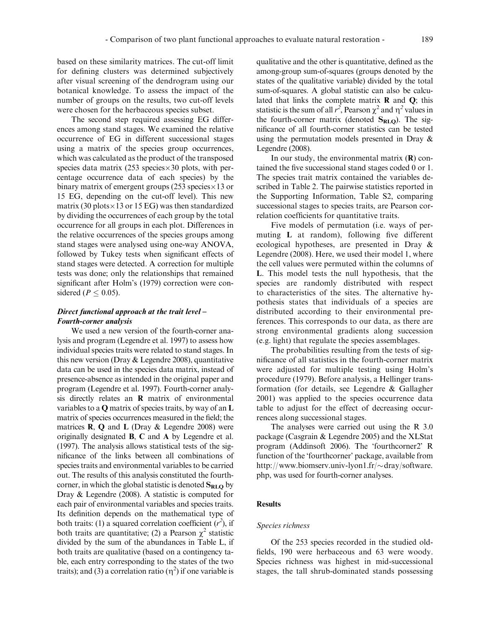based on these similarity matrices. The cut-off limit for defining clusters was determined subjectively after visual screening of the dendrogram using our botanical knowledge. To assess the impact of the number of groups on the results, two cut-off levels were chosen for the herbaceous species subset.

The second step required assessing EG differences among stand stages. We examined the relative occurrence of EG in different successional stages using a matrix of the species group occurrences, which was calculated as the product of the transposed species data matrix (253 species $\times$ 30 plots, with percentage occurrence data of each species) by the binary matrix of emergent groups (253 species $\times$ 13 or 15 EG, depending on the cut-off level). This new matrix (30 plots $\times$ 13 or 15 EG) was then standardized by dividing the occurrences of each group by the total occurrence for all groups in each plot. Differences in the relative occurrences of the species groups among stand stages were analysed using one-way ANOVA, followed by Tukey tests when significant effects of stand stages were detected. A correction for multiple tests was done; only the relationships that remained significant after Holm's (1979) correction were considered ( $P \leq 0.05$ ).

## Direct functional approach at the trait level – Fourth-corner analysis

We used a new version of the fourth-corner analysis and program (Legendre et al. 1997) to assess how individual species traits were related to stand stages. In this new version (Dray  $&$  Legendre 2008), quantitative data can be used in the species data matrix, instead of presence-absence as intended in the original paper and program (Legendre et al. 1997). Fourth-corner analysis directly relates an R matrix of environmental variables to a Q matrix of species traits, by way of an L matrix of species occurrences measured in the field; the matrices  $\bf{R}$ ,  $\bf{Q}$  and  $\bf{L}$  (Dray & Legendre 2008) were originally designated B, C and A by Legendre et al. (1997). The analysis allows statistical tests of the significance of the links between all combinations of species traits and environmental variables to be carried out. The results of this analysis constituted the fourthcorner, in which the global statistic is denoted  $S_{\rm RLO}$  by Dray & Legendre (2008). A statistic is computed for each pair of environmental variables and species traits. Its definition depends on the mathematical type of both traits: (1) a squared correlation coefficient  $(r^2)$ , if both traits are quantitative; (2) a Pearson  $\chi^2$  statistic divided by the sum of the abundances in Table L, if both traits are qualitative (based on a contingency table, each entry corresponding to the states of the two traits); and (3) a correlation ratio  $(\eta^2)$  if one variable is

qualitative and the other is quantitative, defined as the among-group sum-of-squares (groups denoted by the states of the qualitative variable) divided by the total sum-of-squares. A global statistic can also be calculated that links the complete matrix  **and**  $**Q**$ **; this** statistic is the sum of all  $r^2$ , Pearson  $\chi^2$  and  $\eta^2$  values in the fourth-corner matrix (denoted  $S_{RLO}$ ). The significance of all fourth-corner statistics can be tested using the permutation models presented in Dray & Legendre (2008).

In our study, the environmental matrix  $(R)$  contained the five successional stand stages coded 0 or 1. The species trait matrix contained the variables described in Table 2. The pairwise statistics reported in the Supporting Information, Table S2, comparing successional stages to species traits, are Pearson correlation coefficients for quantitative traits.

Five models of permutation (i.e. ways of permuting L at random), following five different ecological hypotheses, are presented in Dray & Legendre (2008). Here, we used their model 1, where the cell values were permuted within the columns of L. This model tests the null hypothesis, that the species are randomly distributed with respect to characteristics of the sites. The alternative hypothesis states that individuals of a species are distributed according to their environmental preferences. This corresponds to our data, as there are strong environmental gradients along succession (e.g. light) that regulate the species assemblages.

The probabilities resulting from the tests of significance of all statistics in the fourth-corner matrix were adjusted for multiple testing using Holm's procedure (1979). Before analysis, a Hellinger transformation (for details, see Legendre & Gallagher 2001) was applied to the species occurrence data table to adjust for the effect of decreasing occurrences along successional stages.

The analyses were carried out using the R 3.0 package (Casgrain & Legendre 2005) and the XLStat program (Addinsoft 2006). The 'fourthcorner2' R function of the 'fourthcorner' package, available from http://www.biomserv.univ-lyon1.fr/ $\sim$ dray/software. php, was used for fourth-corner analyses.

## Results

#### Species richness

Of the 253 species recorded in the studied oldfields, 190 were herbaceous and 63 were woody. Species richness was highest in mid-successional stages, the tall shrub-dominated stands possessing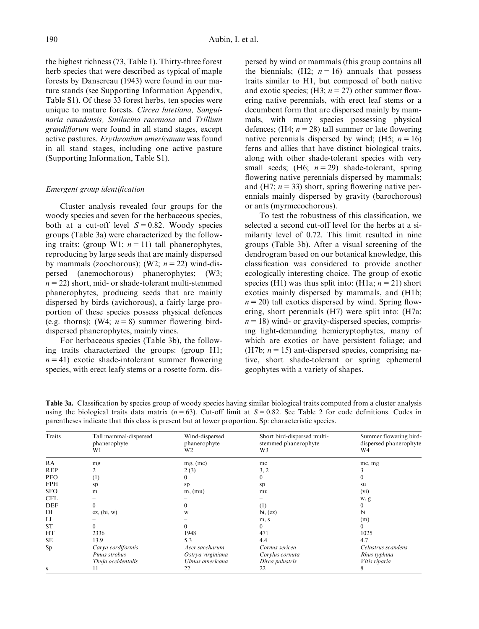the highest richness (73, Table 1). Thirty-three forest herb species that were described as typical of maple forests by Dansereau (1943) were found in our mature stands (see Supporting Information Appendix, Table S1). Of these 33 forest herbs, ten species were unique to mature forests. Circea lutetiana, Sanguinaria canadensis, Smilacina racemosa and Trillium grandiflorum were found in all stand stages, except active pastures. Erythronium americanum was found in all stand stages, including one active pasture (Supporting Information, Table S1).

#### Emergent group identification

Cluster analysis revealed four groups for the woody species and seven for the herbaceous species, both at a cut-off level  $S = 0.82$ . Woody species groups (Table 3a) were characterized by the following traits: (group W1;  $n = 11$ ) tall phanerophytes, reproducing by large seeds that are mainly dispersed by mammals (zoochorous); (W2;  $n = 22$ ) wind-dispersed (anemochorous) phanerophytes; (W3;  $n = 22$ ) short, mid- or shade-tolerant multi-stemmed phanerophytes, producing seeds that are mainly dispersed by birds (avichorous), a fairly large proportion of these species possess physical defences (e.g. thorns); (W4;  $n = 8$ ) summer flowering birddispersed phanerophytes, mainly vines.

For herbaceous species (Table 3b), the following traits characterized the groups: (group H1;  $n = 41$ ) exotic shade-intolerant summer flowering species, with erect leafy stems or a rosette form, dispersed by wind or mammals (this group contains all the biennials;  $(H2; n = 16)$  annuals that possess traits similar to H1, but composed of both native and exotic species; (H3;  $n = 27$ ) other summer flowering native perennials, with erect leaf stems or a decumbent form that are dispersed mainly by mammals, with many species possessing physical defences; (H4;  $n = 28$ ) tall summer or late flowering native perennials dispersed by wind; (H5;  $n = 16$ ) ferns and allies that have distinct biological traits, along with other shade-tolerant species with very small seeds; (H6;  $n = 29$ ) shade-tolerant, spring flowering native perennials dispersed by mammals; and (H7;  $n = 33$ ) short, spring flowering native perennials mainly dispersed by gravity (barochorous) or ants (myrmecochorous).

To test the robustness of this classification, we selected a second cut-off level for the herbs at a similarity level of 0.72. This limit resulted in nine groups (Table 3b). After a visual screening of the dendrogram based on our botanical knowledge, this classification was considered to provide another ecologically interesting choice. The group of exotic species (H1) was thus split into: (H1a;  $n = 21$ ) short exotics mainly dispersed by mammals, and (H1b;  $n = 20$ ) tall exotics dispersed by wind. Spring flowering, short perennials (H7) were split into: (H7a;  $n = 18$ ) wind- or gravity-dispersed species, comprising light-demanding hemicryptophytes, many of which are exotics or have persistent foliage; and (H7b;  $n = 15$ ) ant-dispersed species, comprising native, short shade-tolerant or spring ephemeral geophytes with a variety of shapes.

| Traits     | Tall mammal-dispersed<br>phanerophyte<br>W1 | Wind-dispersed<br>phanerophyte<br>W2 | Short bird-dispersed multi-<br>stemmed phanerophyte<br>W <sub>3</sub> | Summer flowering bird-<br>dispersed phanerophyte<br>W4 |
|------------|---------------------------------------------|--------------------------------------|-----------------------------------------------------------------------|--------------------------------------------------------|
| RA         | mg                                          | $mg$ , (mc)                          | mc                                                                    | mc, mg                                                 |
| <b>REP</b> |                                             | 2(3)                                 | 3, 2                                                                  |                                                        |
| <b>PFO</b> | $\left(1\right)$                            | 0                                    |                                                                       |                                                        |
| <b>FPH</b> | sp                                          | sp                                   | sp                                                                    | su                                                     |
| <b>SFO</b> | m                                           | m, (mu)                              | mu                                                                    | (vi)                                                   |
| <b>CFL</b> |                                             |                                      |                                                                       | w, g                                                   |
| DEF        |                                             | 0                                    | $\left(1\right)$                                                      |                                                        |
| DI         | ez, (bi, w)                                 | W                                    | bi, (ez)                                                              | bi                                                     |
| LI         |                                             |                                      | m, s                                                                  | (m)                                                    |
| <b>ST</b>  |                                             | 0                                    | $\Omega$                                                              |                                                        |
| HT         | 2336                                        | 1948                                 | 471                                                                   | 1025                                                   |
| <b>SE</b>  | 13.9                                        | 5.3                                  | 4.4                                                                   | 4.7                                                    |
| Sp         | Carya cordiformis                           | Acer saccharum                       | Cornus sericea                                                        | Celastrus scandens                                     |
|            | Pinus strobus                               | Ostrya virginiana                    | Corylus cornuta                                                       | Rhus typhina                                           |
|            | Thuja occidentalis                          | Ulmus americana                      | Dirca palustris                                                       | Vitis riparia                                          |
| n          | 11                                          | 22                                   | 22                                                                    | 8                                                      |

Table 3a. Classification by species group of woody species having similar biological traits computed from a cluster analysis using the biological traits data matrix ( $n = 63$ ). Cut-off limit at  $S = 0.82$ . See Table 2 for code definitions. Codes in parentheses indicate that this class is present but at lower proportion. Sp: characteristic species.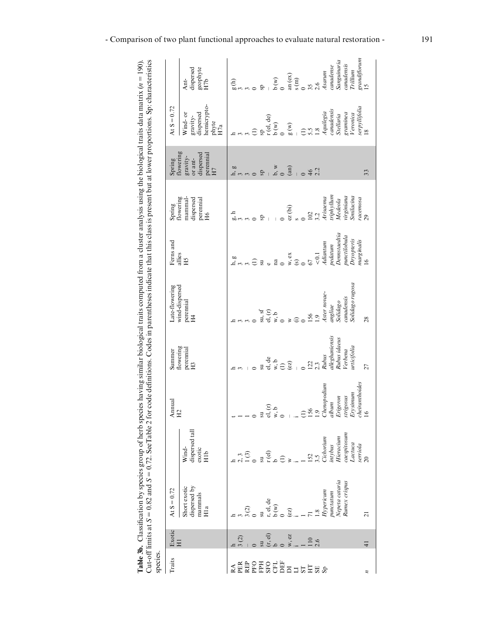Table 3b. Classification by species group of herb species having similar biological traits computed from a cluster analysis using the biological traits data matrix (n 5 190). Cut-off limits at  $\mathcal{S}$  0.82 and  $\mathcal{S}$  $= 0.72$ . SeeTable 2 for code definitions. Codes in parentheses indicate that this class is present but at lower proportions. Sp: characteristics

| species.      |              |                                                                                                                                  |                                          |                                                                       |                          |                                                                                                   |                                                                        |                                         |                                                                                 |                                                                  |                                            |
|---------------|--------------|----------------------------------------------------------------------------------------------------------------------------------|------------------------------------------|-----------------------------------------------------------------------|--------------------------|---------------------------------------------------------------------------------------------------|------------------------------------------------------------------------|-----------------------------------------|---------------------------------------------------------------------------------|------------------------------------------------------------------|--------------------------------------------|
| <b>Traits</b> | Exotic<br>H1 | At $S = 0.72$                                                                                                                    |                                          | Annual<br>H2                                                          | Summer<br>flowering      | Late-flowering                                                                                    |                                                                        | Spring<br>flowering                     | Spring                                                                          | At $S = 0.72$                                                    |                                            |
|               |              | Short exotic<br>dispersed by<br>mammals<br>H1a                                                                                   | Wind-<br>dispersed tall<br>exotic<br>H1b |                                                                       | perennial<br>H3          | wind-dispersed<br>perennial<br>H4                                                                 | Ferns and<br>allies<br>H.5                                             | mammal-<br>dispersed<br>perennial<br>H6 | flowering<br>gravity-<br>or ant-<br>dispersed<br>peremial<br>H7                 | gravity-<br>dispersed<br>hemicrypto-<br>Wind- or<br>phyte<br>H7a | dispersed<br>geophyte $_{\rm H7b}$<br>Ant- |
|               |              |                                                                                                                                  |                                          |                                                                       |                          |                                                                                                   |                                                                        |                                         |                                                                                 |                                                                  | g (h)                                      |
|               | 3(2)         |                                                                                                                                  |                                          |                                                                       |                          |                                                                                                   | ണ<br>പുധ                                                               |                                         | g<br>Linno                                                                      |                                                                  |                                            |
|               |              |                                                                                                                                  |                                          |                                                                       |                          |                                                                                                   |                                                                        |                                         |                                                                                 |                                                                  |                                            |
| ARESESSENTERA |              | $\frac{1}{2}$                                                                                                                    |                                          |                                                                       |                          |                                                                                                   |                                                                        |                                         |                                                                                 |                                                                  |                                            |
|               |              |                                                                                                                                  |                                          |                                                                       |                          |                                                                                                   | $\rm{su}$                                                              |                                         | $\rm{qs}$                                                                       |                                                                  |                                            |
|               |              |                                                                                                                                  |                                          | el, $\begin{pmatrix} r \\ v, b \end{pmatrix}$                         | el, de                   | $\begin{array}{c} \text{su}, \text{sf} \\ \text{el}, \text{ft} \\ \text{w}, \text{b} \end{array}$ |                                                                        |                                         |                                                                                 | $r$ (el, de)                                                     |                                            |
|               |              |                                                                                                                                  |                                          |                                                                       | w, b                     |                                                                                                   |                                                                        |                                         |                                                                                 | b(w)                                                             | $\begin{pmatrix} 0 \\ 0 \end{pmatrix}$     |
|               |              |                                                                                                                                  |                                          |                                                                       | $\ominus$                |                                                                                                   |                                                                        |                                         |                                                                                 |                                                                  |                                            |
|               |              |                                                                                                                                  |                                          |                                                                       | $(\mathrm{e}\mathrm{z})$ | ₹                                                                                                 | $\begin{array}{c}\n\text{na} \\ 0 \\ \text{w}, \text{ex}\n\end{array}$ | $ez$ (bi)                               | $\mathop{\mathsf{b}}\limits^{\aleph}$ o $\mathop{\mathsf{d}}\limits^{\aleph}$ ) | g(w)                                                             | an (ex)<br>s (m)                           |
|               |              |                                                                                                                                  |                                          |                                                                       |                          |                                                                                                   | $\widehat{\mathfrak{S}}_{\ominus}$                                     |                                         |                                                                                 |                                                                  |                                            |
|               |              |                                                                                                                                  |                                          |                                                                       |                          |                                                                                                   |                                                                        |                                         |                                                                                 | $\widehat{\Xi}_{5}$                                              |                                            |
|               |              |                                                                                                                                  |                                          | $\widehat{\Xi}$ is $\widehat{\Xi}$                                    | 122                      | 156                                                                                               |                                                                        | 102                                     | 042                                                                             |                                                                  | 35                                         |
|               |              |                                                                                                                                  |                                          |                                                                       | 2.3                      | $\overline{0}$                                                                                    | $< 0.1$                                                                | 3.2                                     |                                                                                 | $\frac{8}{1}$                                                    | 2.6                                        |
|               |              | r, el, de<br>b (w)<br>b (w)<br>b (w)<br>0<br>(ez)<br>1<br>1<br>1<br>Hypericum<br>Pumex arispus<br>Rumex arispus<br>Rumex arispus |                                          | Chenopodium<br>album                                                  | Rubus                    | Aster novae-                                                                                      | Adiantum                                                               | Arisaema<br>triphyllum<br>Medeola       |                                                                                 | Aquilegia<br>canadensis<br>Stellaria                             | Asarum                                     |
|               |              |                                                                                                                                  |                                          |                                                                       | alleghaniensis           | angliae<br>Solidago                                                                               | pedatum<br>Demstaedtia                                                 |                                         |                                                                                 |                                                                  |                                            |
|               |              |                                                                                                                                  |                                          |                                                                       | Rubus idaeus             |                                                                                                   |                                                                        |                                         |                                                                                 |                                                                  | canadense<br>Sanguinaria                   |
|               |              |                                                                                                                                  |                                          |                                                                       | Verbena<br>urticifolia   | canadensis                                                                                        | punctilobula                                                           | virginiana<br>Smilacina                 |                                                                                 | graminea<br>Veronica                                             | $c$ <i>anadensis</i>                       |
|               |              |                                                                                                                                  |                                          |                                                                       |                          | Solidago rugosa                                                                                   | Dryopteris<br>marginalis                                               |                                         |                                                                                 |                                                                  | <b>Trillium</b>                            |
|               | $\ddot{+}$   | $\overline{21}$                                                                                                                  |                                          | Erigeron<br>strigosus<br>Erysimum<br>cheiranthoides<br>cheiranthoides | 27                       | 28                                                                                                | $\overline{16}$                                                        | racemosa                                | 33                                                                              | a<br>serpyllifolia<br>18                                         | grandiflorum<br>15                         |
|               |              |                                                                                                                                  |                                          |                                                                       |                          |                                                                                                   |                                                                        |                                         |                                                                                 |                                                                  |                                            |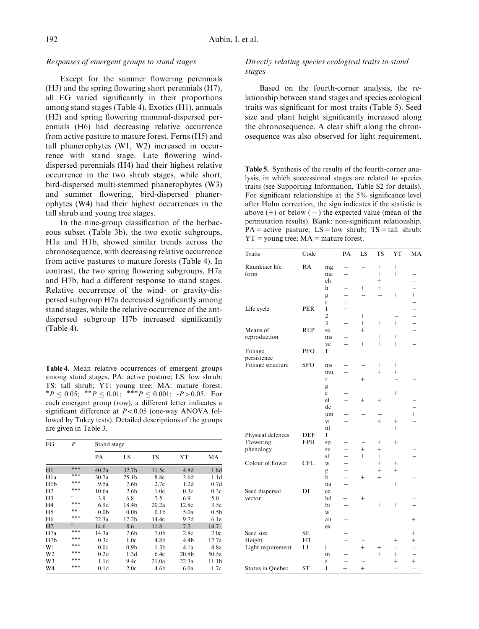#### Responses of emergent groups to stand stages

Except for the summer flowering perennials (H3) and the spring flowering short perennials (H7), all EG varied significantly in their proportions among stand stages (Table 4). Exotics (H1), annuals (H2) and spring flowering mammal-dispersed perennials (H6) had decreasing relative occurrence from active pasture to mature forest. Ferns (H5) and tall phanerophytes (W1, W2) increased in occurrence with stand stage. Late flowering winddispersed perennials (H4) had their highest relative occurrence in the two shrub stages, while short, bird-dispersed multi-stemmed phanerophytes (W3) and summer flowering, bird-dispersed phanerophytes (W4) had their highest occurrences in the tall shrub and young tree stages.

In the nine-group classification of the herbaceous subset (Table 3b), the two exotic subgroups, H1a and H1b, showed similar trends across the chronosequence, with decreasing relative occurrence from active pastures to mature forests (Table 4). In contrast, the two spring flowering subgroups, H7a and H7b, had a different response to stand stages. Relative occurrence of the wind- or gravity-dispersed subgroup H7a decreased significantly among stand stages, while the relative occurrence of the antdispersed subgroup H7b increased significantly (Table 4).

Table 4. Mean relative occurrences of emergent groups among stand stages. PA: active pasture; LS: low shrub; TS: tall shrub; YT: young tree; MA: mature forest.  ${}^{*}P \leq 0.05;$   ${}^{*}{}^{*}P \leq 0.01;$   ${}^{*}{}^{*}P \leq 0.001;$   $-P>0.05.$  For each emergent group (row), a different letter indicates a significant difference at  $P < 0.05$  (one-way ANOVA followed by Tukey tests). Detailed descriptions of the groups are given in Table 3.

| ЕG               | $\boldsymbol{P}$ | Stand stage      |                   |                  |                   |                   |
|------------------|------------------|------------------|-------------------|------------------|-------------------|-------------------|
|                  |                  | PA               | LS                | TS               |                   | МA                |
| H1               | ***              | 40.2a            | 32.7 <sub>b</sub> | 11.5c            | 4.8d              | 1.8d              |
| H <sub>1</sub> a | ***              | 30.7a            | 25.1 <sub>b</sub> | 8.8c             | 3.6d              | 1.1d              |
| H1b              | ***              | 9.5a             | 7.6b              | 2.7c             | 1.2d              | 0.7d              |
| H <sub>2</sub>   | ***              | 10.6a            | 2.6 <sub>b</sub>  | 1.0c             | 0.3c              | 0.3c              |
| H <sub>3</sub>   |                  | 3.9              | 6.8               | 7.5              | 6.9               | 5.0               |
| H4               | ***              | 6.9d             | 18.4b             | 20.2a            | 12.8c             | 3.5e              |
| H <sub>5</sub>   | **               | 0.0 <sub>b</sub> | 0.0 <sub>b</sub>  | 0.1 <sub>b</sub> | 5.0a              | 0.5 <sub>b</sub>  |
| H <sub>6</sub>   | ***              | 22.3a            | 17.2 <sub>b</sub> | 14.4c            | 9.7d              | 6.1e              |
| H7               | ۰                | 14.6             | 8.6               | 11.8             | 7.2               | 14.7              |
| H7a              | ***              | 14.3a            | 7.6b              | 7.0 <sub>b</sub> | 2.8c              | 2.0c              |
| H7b              | ***              | 0.3c             | 1.0c              | 4.8b             | 4.4b              | 12.7a             |
| W1               | ***              | 0.0c             | 0.9 <sub>b</sub>  | 1.3 <sub>b</sub> | 4.1a              | 4.8a              |
| W <sub>2</sub>   | ***              | 0.2d             | 1.3d              | 6.4c             | 20.8 <sub>b</sub> | 50.5a             |
| W3               | ***              | 1.1d             | 9.4c              | 21.0a            | 22.3a             | 11.1 <sub>b</sub> |
| W4               | ***              | 0.1d             | 2.0c              | 4.6b             | 6.0a              | 1.7c              |

## Directly relating species ecological traits to stand stages

Based on the fourth-corner analysis, the relationship between stand stages and species ecological traits was significant for most traits (Table 5). Seed size and plant height significantly increased along the chronosequence. A clear shift along the chronosequence was also observed for light requirement,

Table 5. Synthesis of the results of the fourth-corner analysis, in which successional stages are related to species traits (see Supporting Information, Table S2 for details). For significant relationships at the 5% significance level after Holm correction, the sign indicates if the statistic is above  $(+)$  or below  $(-)$  the expected value (mean of the permutation results). Blank: non-significant relationship.  $PA = active$  pasture;  $LS = low$  shrub;  $TS = tall$  shrub;  $YT = young tree$ ;  $MA = mature forest$ .

| Traits                 | Code       |                | PA                       | LS                       | <b>TS</b>                | YT                       | MA                       |
|------------------------|------------|----------------|--------------------------|--------------------------|--------------------------|--------------------------|--------------------------|
| Raunkiaer life         | RA         | mg             | $\overline{\phantom{0}}$ | $\overline{\phantom{0}}$ | $^{+}$                   | $^{+}$                   |                          |
| form                   |            | mc             |                          |                          | $^{+}$                   | $^{+}$                   |                          |
|                        |            | ch             |                          |                          | $^{+}$                   |                          |                          |
|                        |            | h              |                          | $^{+}$                   | $+$                      |                          |                          |
|                        |            | g              |                          |                          | $\overline{\phantom{0}}$ | $^{+}$                   | $+$                      |
|                        |            | t              | $^{+}$                   |                          |                          |                          |                          |
| Life cycle             | <b>PER</b> | 1              | $+$                      |                          |                          |                          |                          |
|                        |            | $\overline{c}$ |                          | $^{+}$                   |                          |                          |                          |
|                        |            | $\overline{3}$ |                          | $\ddot{}$                | $\ddot{}$                | $^{+}$                   |                          |
| Means of               | <b>REP</b> | se             |                          | $+$                      |                          |                          |                          |
| reproduction           |            | ms             |                          |                          | $^{+}$<br>$+$            | $^{+}$<br>$+$            |                          |
|                        | PFO        | ve<br>1        |                          | $^{+}$                   |                          |                          |                          |
| Foliage<br>persistence |            |                |                          |                          |                          |                          |                          |
| Foliage structure      | <b>SFO</b> | ms             |                          |                          | $^{+}$                   | $^{+}$                   |                          |
|                        |            | mu             |                          |                          | $+$                      | $\ddot{}$                |                          |
|                        |            | r              |                          | $^{+}$                   |                          |                          |                          |
|                        |            | g              |                          |                          |                          |                          |                          |
|                        |            | e              |                          |                          |                          | $^{+}$                   |                          |
|                        |            | el             |                          | $^{+}$                   | $^{+}$                   |                          |                          |
|                        |            | de             |                          |                          |                          |                          |                          |
|                        |            | um             |                          |                          |                          |                          | $+$                      |
|                        |            | vi             |                          |                          | $^{+}$                   | $^+$                     |                          |
|                        |            | nl             |                          |                          |                          | $+$                      |                          |
| Physical defences      | DEF        | 1              |                          |                          |                          |                          |                          |
| Flowering              | <b>FPH</b> | sp             |                          |                          | $^{+}$                   | $^{+}$                   |                          |
| phenology              |            | su             |                          | $^{+}$<br>$+$            | $\ddot{}$                |                          |                          |
| Colour of flower       | <b>CFL</b> | sf             |                          |                          | $\ddot{}$<br>$+$         |                          |                          |
|                        |            | W              |                          |                          | $\ddot{}$                | $^{+}$<br>$^{+}$         |                          |
|                        |            | g<br>b         | $\overline{\phantom{0}}$ | $^{+}$                   | $^{+}$                   |                          |                          |
|                        |            | na             |                          |                          |                          | $^{+}$                   |                          |
| Seed dispersal         | DI         | ez             |                          |                          |                          |                          |                          |
| vector                 |            | hd             | $\hspace{0.1mm} +$       | $^{+}$                   |                          |                          |                          |
|                        |            | bi             |                          |                          | $^{+}$                   | $^{+}$                   |                          |
|                        |            | W              |                          |                          |                          |                          |                          |
|                        |            | an             |                          |                          |                          |                          | $^{+}$                   |
|                        |            | ex             |                          |                          |                          |                          |                          |
| Seed size              | <b>SE</b>  |                |                          |                          |                          |                          | $\hspace{0.1mm} +$       |
| Height                 | HT         |                |                          |                          |                          | $^{+}$                   | $\ddag$                  |
| Light requirement      | LI         | i              |                          | $+$                      | $^+$                     |                          |                          |
|                        |            | m              |                          |                          | $+$                      | $+$                      |                          |
|                        |            | S              |                          |                          |                          | $^{+}$                   | $+$                      |
| Status in Quebec       | <b>ST</b>  | 1              | $^{+}$                   | $+$                      |                          | $\overline{\phantom{0}}$ | $\overline{\phantom{0}}$ |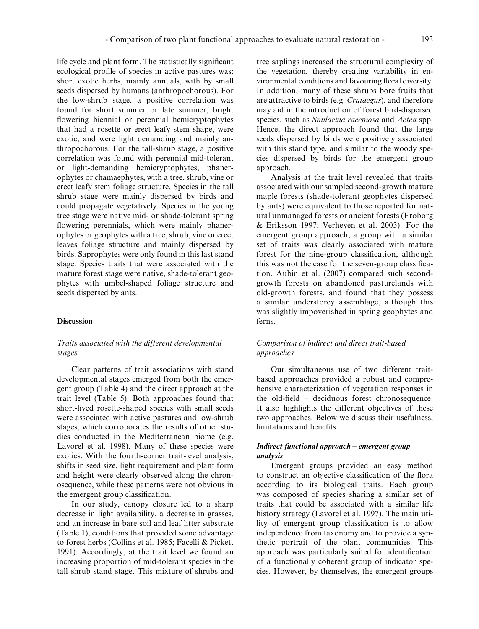life cycle and plant form. The statistically significant ecological profile of species in active pastures was: short exotic herbs, mainly annuals, with by small seeds dispersed by humans (anthropochorous). For the low-shrub stage, a positive correlation was found for short summer or late summer, bright flowering biennial or perennial hemicryptophytes that had a rosette or erect leafy stem shape, were exotic, and were light demanding and mainly anthropochorous. For the tall-shrub stage, a positive correlation was found with perennial mid-tolerant or light-demanding hemicryptophytes, phanerophytes or chamaephytes, with a tree, shrub, vine or erect leafy stem foliage structure. Species in the tall shrub stage were mainly dispersed by birds and could propagate vegetatively. Species in the young tree stage were native mid- or shade-tolerant spring flowering perennials, which were mainly phanerophytes or geophytes with a tree, shrub, vine or erect leaves foliage structure and mainly dispersed by birds. Saprophytes were only found in this last stand stage. Species traits that were associated with the mature forest stage were native, shade-tolerant geophytes with umbel-shaped foliage structure and seeds dispersed by ants.

#### **Discussion**

## Traits associated with the different developmental stages

Clear patterns of trait associations with stand developmental stages emerged from both the emergent group (Table 4) and the direct approach at the trait level (Table 5). Both approaches found that short-lived rosette-shaped species with small seeds were associated with active pastures and low-shrub stages, which corroborates the results of other studies conducted in the Mediterranean biome (e.g. Lavorel et al. 1998). Many of these species were exotics. With the fourth-corner trait-level analysis, shifts in seed size, light requirement and plant form and height were clearly observed along the chronosequence, while these patterns were not obvious in the emergent group classification.

In our study, canopy closure led to a sharp decrease in light availability, a decrease in grasses, and an increase in bare soil and leaf litter substrate (Table 1), conditions that provided some advantage to forest herbs (Collins et al. 1985; Facelli & Pickett 1991). Accordingly, at the trait level we found an increasing proportion of mid-tolerant species in the tall shrub stand stage. This mixture of shrubs and tree saplings increased the structural complexity of the vegetation, thereby creating variability in environmental conditions and favouring floral diversity. In addition, many of these shrubs bore fruits that are attractive to birds (e.g. Crataegus), and therefore may aid in the introduction of forest bird-dispersed species, such as *Smilacina racemosa* and *Actea* spp. Hence, the direct approach found that the large seeds dispersed by birds were positively associated with this stand type, and similar to the woody species dispersed by birds for the emergent group approach.

Analysis at the trait level revealed that traits associated with our sampled second-growth mature maple forests (shade-tolerant geophytes dispersed by ants) were equivalent to those reported for natural unmanaged forests or ancient forests (Froborg & Eriksson 1997; Verheyen et al. 2003). For the emergent group approach, a group with a similar set of traits was clearly associated with mature forest for the nine-group classification, although this was not the case for the seven-group classification. Aubin et al. (2007) compared such secondgrowth forests on abandoned pasturelands with old-growth forests, and found that they possess a similar understorey assemblage, although this was slightly impoverished in spring geophytes and ferns.

## Comparison of indirect and direct trait-based approaches

Our simultaneous use of two different traitbased approaches provided a robust and comprehensive characterization of vegetation responses in the old-field – deciduous forest chronosequence. It also highlights the different objectives of these two approaches. Below we discuss their usefulness, limitations and benefits.

## Indirect functional approach – emergent group analysis

Emergent groups provided an easy method to construct an objective classification of the flora according to its biological traits. Each group was composed of species sharing a similar set of traits that could be associated with a similar life history strategy (Lavorel et al. 1997). The main utility of emergent group classification is to allow independence from taxonomy and to provide a synthetic portrait of the plant communities. This approach was particularly suited for identification of a functionally coherent group of indicator species. However, by themselves, the emergent groups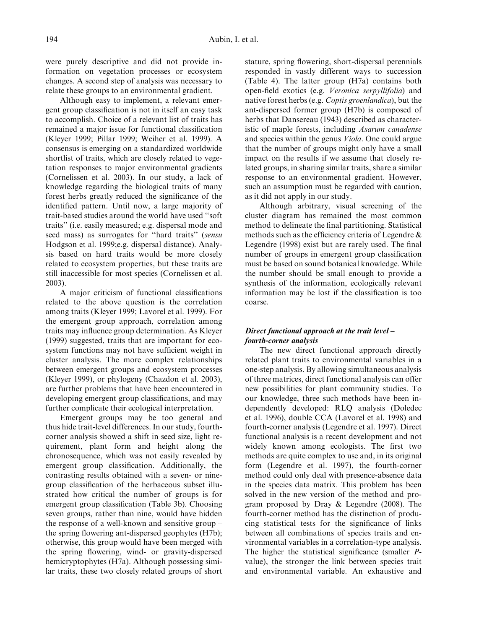were purely descriptive and did not provide information on vegetation processes or ecosystem changes. A second step of analysis was necessary to relate these groups to an environmental gradient.

Although easy to implement, a relevant emergent group classification is not in itself an easy task to accomplish. Choice of a relevant list of traits has remained a major issue for functional classification (Kleyer 1999; Pillar 1999; Weiher et al. 1999). A consensus is emerging on a standardized worldwide shortlist of traits, which are closely related to vegetation responses to major environmental gradients (Cornelissen et al. 2003). In our study, a lack of knowledge regarding the biological traits of many forest herbs greatly reduced the significance of the identified pattern. Until now, a large majority of trait-based studies around the world have used ''soft traits'' (i.e. easily measured; e.g. dispersal mode and seed mass) as surrogates for "hard traits" (sensu Hodgson et al. 1999;e.g. dispersal distance). Analysis based on hard traits would be more closely related to ecosystem properties, but these traits are still inaccessible for most species (Cornelissen et al. 2003).

A major criticism of functional classifications related to the above question is the correlation among traits (Kleyer 1999; Lavorel et al. 1999). For the emergent group approach, correlation among traits may influence group determination. As Kleyer (1999) suggested, traits that are important for ecosystem functions may not have sufficient weight in cluster analysis. The more complex relationships between emergent groups and ecosystem processes (Kleyer 1999), or phylogeny (Chazdon et al. 2003), are further problems that have been encountered in developing emergent group classifications, and may further complicate their ecological interpretation.

Emergent groups may be too general and thus hide trait-level differences. In our study, fourthcorner analysis showed a shift in seed size, light requirement, plant form and height along the chronosequence, which was not easily revealed by emergent group classification. Additionally, the contrasting results obtained with a seven- or ninegroup classification of the herbaceous subset illustrated how critical the number of groups is for emergent group classification (Table 3b). Choosing seven groups, rather than nine, would have hidden the response of a well-known and sensitive group – the spring flowering ant-dispersed geophytes (H7b); otherwise, this group would have been merged with the spring flowering, wind- or gravity-dispersed hemicryptophytes (H7a). Although possessing similar traits, these two closely related groups of short stature, spring flowering, short-dispersal perennials responded in vastly different ways to succession (Table 4). The latter group (H7a) contains both open-field exotics (e.g. Veronica serpyllifolia) and native forest herbs (e.g. Coptis groenlandica), but the ant-dispersed former group (H7b) is composed of herbs that Dansereau (1943) described as characteristic of maple forests, including Asarum canadense and species within the genus Viola. One could argue that the number of groups might only have a small impact on the results if we assume that closely related groups, in sharing similar traits, share a similar response to an environmental gradient. However, such an assumption must be regarded with caution, as it did not apply in our study.

Although arbitrary, visual screening of the cluster diagram has remained the most common method to delineate the final partitioning. Statistical methods such as the efficiency criteria of Legendre & Legendre (1998) exist but are rarely used. The final number of groups in emergent group classification must be based on sound botanical knowledge. While the number should be small enough to provide a synthesis of the information, ecologically relevant information may be lost if the classification is too coarse.

## Direct functional approach at the trait level – fourth-corner analysis

The new direct functional approach directly related plant traits to environmental variables in a one-step analysis. By allowing simultaneous analysis of three matrices, direct functional analysis can offer new possibilities for plant community studies. To our knowledge, three such methods have been independently developed: RLQ analysis (Doledec et al. 1996), double CCA (Lavorel et al. 1998) and fourth-corner analysis (Legendre et al. 1997). Direct functional analysis is a recent development and not widely known among ecologists. The first two methods are quite complex to use and, in its original form (Legendre et al. 1997), the fourth-corner method could only deal with presence-absence data in the species data matrix. This problem has been solved in the new version of the method and program proposed by Dray & Legendre (2008). The fourth-corner method has the distinction of producing statistical tests for the significance of links between all combinations of species traits and environmental variables in a correlation-type analysis. The higher the statistical significance (smaller Pvalue), the stronger the link between species trait and environmental variable. An exhaustive and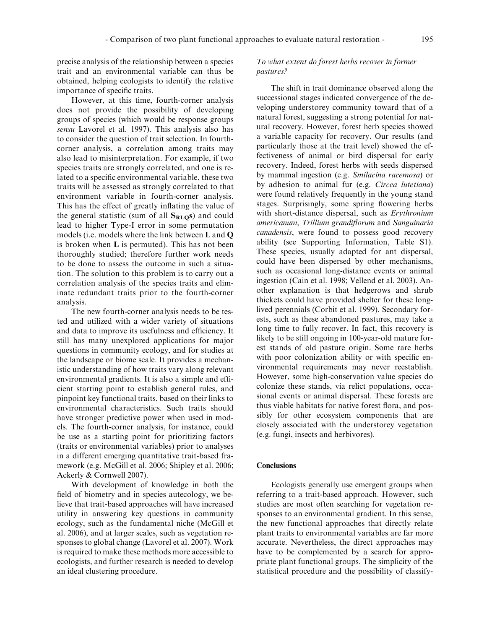precise analysis of the relationship between a species trait and an environmental variable can thus be obtained, helping ecologists to identify the relative importance of specific traits.

However, at this time, fourth-corner analysis does not provide the possibility of developing groups of species (which would be response groups sensu Lavorel et al. 1997). This analysis also has to consider the question of trait selection. In fourthcorner analysis, a correlation among traits may also lead to misinterpretation. For example, if two species traits are strongly correlated, and one is related to a specific environmental variable, these two traits will be assessed as strongly correlated to that environment variable in fourth-corner analysis. This has the effect of greatly inflating the value of the general statistic (sum of all  $S_{RLQ}s$ ) and could lead to higher Type-I error in some permutation models (i.e. models where the link between L and Q is broken when L is permuted). This has not been thoroughly studied; therefore further work needs to be done to assess the outcome in such a situation. The solution to this problem is to carry out a correlation analysis of the species traits and eliminate redundant traits prior to the fourth-corner analysis.

The new fourth-corner analysis needs to be tested and utilized with a wider variety of situations and data to improve its usefulness and efficiency. It still has many unexplored applications for major questions in community ecology, and for studies at the landscape or biome scale. It provides a mechanistic understanding of how traits vary along relevant environmental gradients. It is also a simple and efficient starting point to establish general rules, and pinpoint key functional traits, based on their links to environmental characteristics. Such traits should have stronger predictive power when used in models. The fourth-corner analysis, for instance, could be use as a starting point for prioritizing factors (traits or environmental variables) prior to analyses in a different emerging quantitative trait-based framework (e.g. McGill et al. 2006; Shipley et al. 2006; Ackerly & Cornwell 2007).

With development of knowledge in both the field of biometry and in species autecology, we believe that trait-based approaches will have increased utility in answering key questions in community ecology, such as the fundamental niche (McGill et al. 2006), and at larger scales, such as vegetation responses to global change (Lavorel et al. 2007). Work is required to make these methods more accessible to ecologists, and further research is needed to develop an ideal clustering procedure.

## To what extent do forest herbs recover in former pastures?

The shift in trait dominance observed along the successional stages indicated convergence of the developing understorey community toward that of a natural forest, suggesting a strong potential for natural recovery. However, forest herb species showed a variable capacity for recovery. Our results (and particularly those at the trait level) showed the effectiveness of animal or bird dispersal for early recovery. Indeed, forest herbs with seeds dispersed by mammal ingestion (e.g. Smilacina racemosa) or by adhesion to animal fur (e.g. Circea lutetiana) were found relatively frequently in the young stand stages. Surprisingly, some spring flowering herbs with short-distance dispersal, such as *Erythronium* americanum, Trillium grandiflorum and Sanguinaria canadensis, were found to possess good recovery ability (see Supporting Information, Table S1). These species, usually adapted for ant dispersal, could have been dispersed by other mechanisms, such as occasional long-distance events or animal ingestion (Cain et al. 1998; Vellend et al. 2003). Another explanation is that hedgerows and shrub thickets could have provided shelter for these longlived perennials (Corbit et al. 1999). Secondary forests, such as these abandoned pastures, may take a long time to fully recover. In fact, this recovery is likely to be still ongoing in 100-year-old mature forest stands of old pasture origin. Some rare herbs with poor colonization ability or with specific environmental requirements may never reestablish. However, some high-conservation value species do colonize these stands, via relict populations, occasional events or animal dispersal. These forests are thus viable habitats for native forest flora, and possibly for other ecosystem components that are closely associated with the understorey vegetation (e.g. fungi, insects and herbivores).

## **Conclusions**

Ecologists generally use emergent groups when referring to a trait-based approach. However, such studies are most often searching for vegetation responses to an environmental gradient. In this sense, the new functional approaches that directly relate plant traits to environmental variables are far more accurate. Nevertheless, the direct approaches may have to be complemented by a search for appropriate plant functional groups. The simplicity of the statistical procedure and the possibility of classify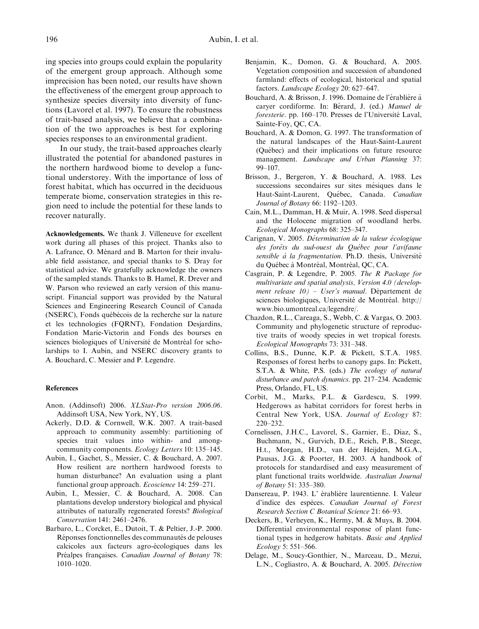ing species into groups could explain the popularity of the emergent group approach. Although some imprecision has been noted, our results have shown the effectiveness of the emergent group approach to synthesize species diversity into diversity of functions (Lavorel et al. 1997). To ensure the robustness of trait-based analysis, we believe that a combination of the two approaches is best for exploring species responses to an environmental gradient.

In our study, the trait-based approaches clearly illustrated the potential for abandoned pastures in the northern hardwood biome to develop a functional understorey. With the importance of loss of forest habitat, which has occurred in the deciduous temperate biome, conservation strategies in this region need to include the potential for these lands to recover naturally.

Acknowledgements. We thank J. Villeneuve for excellent work during all phases of this project. Thanks also to A. Lafrance, O. Ménard and B. Marton for their invaluable field assistance, and special thanks to S. Dray for statistical advice. We gratefully acknowledge the owners of the sampled stands. Thanks to B. Hamel, R. Drever and W. Parson who reviewed an early version of this manuscript. Financial support was provided by the Natural Sciences and Engineering Research Council of Canada (NSERC), Fonds québécois de la recherche sur la nature et les technologies (FQRNT), Fondation Desjardins, Fondation Marie-Victorin and Fonds des bourses en sciences biologiques of Université de Montréal for scholarships to I. Aubin, and NSERC discovery grants to A. Bouchard, C. Messier and P. Legendre.

#### References

- Anon. (Addinsoft) 2006. XLStat-Pro version 2006.06. Addinsoft USA, New York, NY, US.
- Ackerly, D.D. & Cornwell, W.K. 2007. A trait-based approach to community assembly: partitioning of species trait values into within- and amongcommunity components. Ecology Letters 10: 135–145.
- Aubin, I., Gachet, S., Messier, C. & Bouchard, A. 2007. How resilient are northern hardwood forests to human disturbance? An evaluation using a plant functional group approach. Ecoscience 14: 259–271.
- Aubin, I., Messier, C. & Bouchard, A. 2008. Can plantations develop understory biological and physical attributes of naturally regenerated forests? Biological Conservation 141: 2461–2476.
- Barbaro, L., Corcket, E., Dutoit, T. & Peltier, J.-P. 2000. Réponses fonctionnelles des communautés de pelouses calcicoles aux facteurs agro-écologiques dans les Préalpes françaises. Canadian Journal of Botany 78: 1010–1020.
- Benjamin, K., Domon, G. & Bouchard, A. 2005. Vegetation composition and succession of abandoned farmland: effects of ecological, historical and spatial factors. Landscape Ecology 20: 627–647.
- Bouchard, A. & Brisson, J. 1996. Domaine de l'érablière à caryer cordiforme. In: Bérard, J. (ed.) Manuel de foresterie. pp. 160–170. Presses de l'Université Laval, Sainte-Foy, QC, CA.
- Bouchard, A. & Domon, G. 1997. The transformation of the natural landscapes of the Haut-Saint-Laurent (Que´bec) and their implications on future resource management. Landscape and Urban Planning 37: 99–107.
- Brisson, J., Bergeron, Y. & Bouchard, A. 1988. Les successions secondaires sur sites mésiques dans le Haut-Saint-Laurent, Québec, Canada. Canadian Journal of Botany 66: 1192–1203.
- Cain, M.L., Damman, H. & Muir, A. 1998. Seed dispersal and the Holocene migration of woodland herbs. Ecological Monographs 68: 325–347.
- Carignan, V. 2005. Détermination de la valeur écologique des forêts du sud-ouest du Québec pour l'avifaune sensible  $\dot{a}$  la fragmentation. Ph.D. thesis, Université du Québec à Montréal, Montréal, QC, CA.
- Casgrain, P. & Legendre, P. 2005. The R Package for multivariate and spatial analysis, Version 4.0 (development release  $10$ ) – User's manual. Département de sciences biologiques, Université de Montréal. http:// www.bio.umontreal.ca/legendre/.
- Chazdon, R.L., Careaga, S., Webb, C. & Vargas, O. 2003. Community and phylogenetic structure of reproductive traits of woody species in wet tropical forests. Ecological Monographs 73: 331–348.
- Collins, B.S., Dunne, K.P. & Pickett, S.T.A. 1985. Responses of forest herbs to canopy gaps. In: Pickett, S.T.A. & White, P.S. (eds.) The ecology of natural disturbance and patch dynamics. pp. 217–234. Academic Press, Orlando, FL, US.
- Corbit, M., Marks, P.L. & Gardescu, S. 1999. Hedgerows as habitat corridors for forest herbs in Central New York, USA. Journal of Ecology 87: 220–232.
- Cornelissen, J.H.C., Lavorel, S., Garnier, E., Diaz, S., Buchmann, N., Gurvich, D.E., Reich, P.B., Steege, H.t., Morgan, H.D., van der Heijden, M.G.A., Pausas, J.G. & Poorter, H. 2003. A handbook of protocols for standardised and easy measurement of plant functional traits worldwide. Australian Journal of Botany 51: 335–380.
- Dansereau, P. 1943. L'érablière laurentienne. I. Valeur d'indice des espèces. Canadian Journal of Forest Research Section C Botanical Science 21: 66–93.
- Deckers, B., Verheyen, K., Hermy, M. & Muys, B. 2004. Differential environmental response of plant functional types in hedgerow habitats. Basic and Applied Ecology 5: 551–566.
- Delage, M., Soucy-Gonthier, N., Marceau, D., Mezui, L.N., Cogliastro, A. & Bouchard, A. 2005. Détection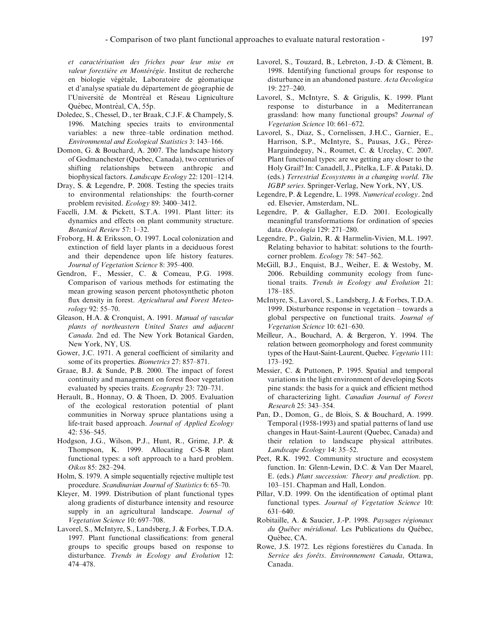et caractérisation des friches pour leur mise en valeur forestière en Montérégie. Institut de recherche en biologie végétale. Laboratoire de géomatique et d'analyse spatiale du département de géographie de l'Université de Montréal et Réseau Ligniculture Québec, Montréal, CA, 55p.

- Doledec, S., Chessel, D., ter Braak, C.J.F. & Champely, S. 1996. Matching species traits to environmental variables: a new three–table ordination method. Environmental and Ecological Statistics 3: 143–166.
- Domon, G. & Bouchard, A. 2007. The landscape history of Godmanchester (Quebec, Canada), two centuries of shifting relationships between anthropic and biophysical factors. Landscape Ecology 22: 1201–1214.
- Dray, S. & Legendre, P. 2008. Testing the species traits to environmental relationships: the fourth-corner problem revisited. Ecology 89: 3400–3412.
- Facelli, J.M. & Pickett, S.T.A. 1991. Plant litter: its dynamics and effects on plant community structure. Botanical Review 57: 1–32.
- Froborg, H. & Eriksson, O. 1997. Local colonization and extinction of field layer plants in a deciduous forest and their dependence upon life history features. Journal of Vegetation Science 8: 395–400.
- Gendron, F., Messier, C. & Comeau, P.G. 1998. Comparison of various methods for estimating the mean growing season percent photosynthetic photon flux density in forest. Agricultural and Forest Meteorology 92: 55–70.
- Gleason, H.A. & Cronquist, A. 1991. Manual of vascular plants of northeastern United States and adjacent Canada. 2nd ed. The New York Botanical Garden, New York, NY, US.
- Gower, J.C. 1971. A general coefficient of similarity and some of its properties. Biometrics 27: 857–871.
- Graae, B.J. & Sunde, P.B. 2000. The impact of forest continuity and management on forest floor vegetation evaluated by species traits. Ecography 23: 720–731.
- Herault, B., Honnay, O. & Thoen, D. 2005. Evaluation of the ecological restoration potential of plant communities in Norway spruce plantations using a life-trait based approach. Journal of Applied Ecology 42: 536–545.
- Hodgson, J.G., Wilson, P.J., Hunt, R., Grime, J.P. & Thompson, K. 1999. Allocating C-S-R plant functional types: a soft approach to a hard problem. Oikos 85: 282–294.
- Holm, S. 1979. A simple sequentially rejective multiple test procedure. Scandinavian Journal of Statistics 6: 65–70.
- Kleyer, M. 1999. Distribution of plant functional types along gradients of disturbance intensity and resource supply in an agricultural landscape. Journal of Vegetation Science 10: 697–708.
- Lavorel, S., McIntyre, S., Landsberg, J. & Forbes, T.D.A. 1997. Plant functional classifications: from general groups to specific groups based on response to disturbance. Trends in Ecology and Evolution 12: 474–478.
- Lavorel, S., Touzard, B., Lebreton, J.-D. & Clément, B. 1998. Identifying functional groups for response to disturbance in an abandoned pasture. Acta Oecologica 19: 227–240.
- Lavorel, S., McIntyre, S. & Grigulis, K. 1999. Plant response to disturbance in a Mediterranean grassland: how many functional groups? Journal of Vegetation Science 10: 661–672.
- Lavorel, S., Diaz, S., Cornelissen, J.H.C., Garnier, E., Harrison, S.P., McIntyre, S., Pausas, J.G., Pérez-Harguindeguy, N., Roumet, C. & Urcelay, C. 2007. Plant functional types: are we getting any closer to the Holy Grail? In: Canadell, J., Pitelka, L.F. & Pataki, D. (eds.) Terrestrial Ecosystems in a changing world. The IGBP series. Springer-Verlag, New York, NY, US.
- Legendre, P. & Legendre, L. 1998. Numerical ecology. 2nd ed. Elsevier, Amsterdam, NL.
- Legendre, P. & Gallagher, E.D. 2001. Ecologically meaningful transformations for ordination of species data. Oecologia 129: 271–280.
- Legendre, P., Galzin, R. & Harmelin-Vivien, M.L. 1997. Relating behavior to habitat: solutions to the fourthcorner problem. Ecology 78: 547–562.
- McGill, B.J., Enquist, B.J., Weiher, E. & Westoby, M. 2006. Rebuilding community ecology from functional traits. Trends in Ecology and Evolution 21: 178–185.
- McIntyre, S., Lavorel, S., Landsberg, J. & Forbes, T.D.A. 1999. Disturbance response in vegetation – towards a global perspective on functional traits. Journal of Vegetation Science 10: 621–630.
- Meilleur, A., Bouchard, A. & Bergeron, Y. 1994. The relation between geomorphology and forest community types of the Haut-Saint-Laurent, Quebec. Vegetatio 111: 173–192.
- Messier, C. & Puttonen, P. 1995. Spatial and temporal variations in the light environment of developing Scots pine stands: the basis for a quick and efficient method of characterizing light. Canadian Journal of Forest Research 25: 343–354.
- Pan, D., Domon, G., de Blois, S. & Bouchard, A. 1999. Temporal (1958-1993) and spatial patterns of land use changes in Haut-Saint-Laurent (Quebec, Canada) and their relation to landscape physical attributes. Landscape Ecology 14: 35–52.
- Peet, R.K. 1992. Community structure and ecosystem function. In: Glenn-Lewin, D.C. & Van Der Maarel, E. (eds.) Plant succession: Theory and prediction. pp. 103–151. Chapman and Hall, London.
- Pillar, V.D. 1999. On the identification of optimal plant functional types. Journal of Vegetation Science 10: 631–640.
- Robitaille, A. & Saucier, J.-P. 1998. Paysages régionaux du Québec méridional. Les Publications du Québec, Québec, CA.
- Rowe, J.S. 1972. Les régions forestières du Canada. In Service des forêts. Environnement Canada, Ottawa, Canada.